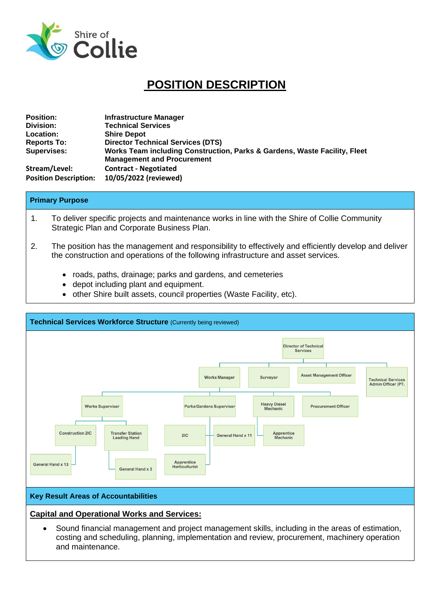

# **POSITION DESCRIPTION**

| <b>Position:</b>             | <b>Infrastructure Manager</b>                                                                                  |
|------------------------------|----------------------------------------------------------------------------------------------------------------|
| Division:                    | <b>Technical Services</b>                                                                                      |
| <b>Location:</b>             | <b>Shire Depot</b>                                                                                             |
| <b>Reports To:</b>           | <b>Director Technical Services (DTS)</b>                                                                       |
| <b>Supervises:</b>           | Works Team including Construction, Parks & Gardens, Waste Facility, Fleet<br><b>Management and Procurement</b> |
| Stream/Level:                | <b>Contract - Negotiated</b>                                                                                   |
| <b>Position Description:</b> | 10/05/2022 (reviewed)                                                                                          |

#### **Primary Purpose**

- 1. To deliver specific projects and maintenance works in line with the Shire of Collie Community Strategic Plan and Corporate Business Plan.
- 2. The position has the management and responsibility to effectively and efficiently develop and deliver the construction and operations of the following infrastructure and asset services.
	- roads, paths, drainage; parks and gardens, and cemeteries
	- depot including plant and equipment.
	- other Shire built assets, council properties (Waste Facility, etc).



costing and scheduling, planning, implementation and review, procurement, machinery operation and maintenance.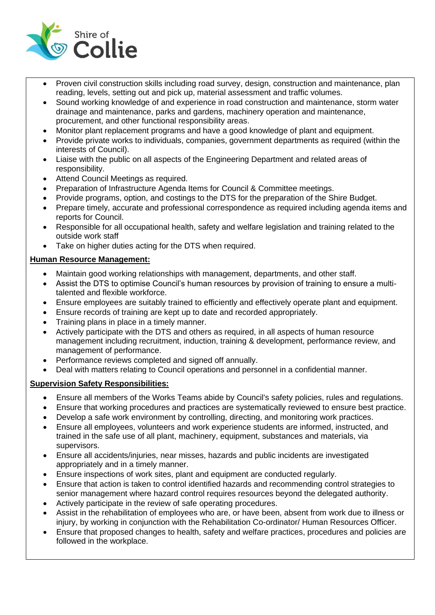

- Proven civil construction skills including road survey, design, construction and maintenance, plan reading, levels, setting out and pick up, material assessment and traffic volumes.
- Sound working knowledge of and experience in road construction and maintenance, storm water drainage and maintenance, parks and gardens, machinery operation and maintenance, procurement, and other functional responsibility areas.
- Monitor plant replacement programs and have a good knowledge of plant and equipment.
- Provide private works to individuals, companies, government departments as required (within the interests of Council).
- Liaise with the public on all aspects of the Engineering Department and related areas of responsibility.
- Attend Council Meetings as required.
- Preparation of Infrastructure Agenda Items for Council & Committee meetings.
- Provide programs, option, and costings to the DTS for the preparation of the Shire Budget.
- Prepare timely, accurate and professional correspondence as required including agenda items and reports for Council.
- Responsible for all occupational health, safety and welfare legislation and training related to the outside work staff
- Take on higher duties acting for the DTS when required.

# **Human Resource Management:**

- Maintain good working relationships with management, departments, and other staff.
- Assist the DTS to optimise Council's human resources by provision of training to ensure a multitalented and flexible workforce.
- Ensure employees are suitably trained to efficiently and effectively operate plant and equipment.
- Ensure records of training are kept up to date and recorded appropriately.
- Training plans in place in a timely manner.
- Actively participate with the DTS and others as required, in all aspects of human resource management including recruitment, induction, training & development, performance review, and management of performance.
- Performance reviews completed and signed off annually.
- Deal with matters relating to Council operations and personnel in a confidential manner.

## **Supervision Safety Responsibilities:**

- Ensure all members of the Works Teams abide by Council's safety policies, rules and regulations.
- Ensure that working procedures and practices are systematically reviewed to ensure best practice.
- Develop a safe work environment by controlling, directing, and monitoring work practices.
- Ensure all employees, volunteers and work experience students are informed, instructed, and trained in the safe use of all plant, machinery, equipment, substances and materials, via supervisors.
- Ensure all accidents/injuries, near misses, hazards and public incidents are investigated appropriately and in a timely manner.
- Ensure inspections of work sites, plant and equipment are conducted regularly.
- Ensure that action is taken to control identified hazards and recommending control strategies to senior management where hazard control requires resources beyond the delegated authority.
- Actively participate in the review of safe operating procedures.
- Assist in the rehabilitation of employees who are, or have been, absent from work due to illness or injury, by working in conjunction with the Rehabilitation Co-ordinator/ Human Resources Officer.
- Ensure that proposed changes to health, safety and welfare practices, procedures and policies are followed in the workplace.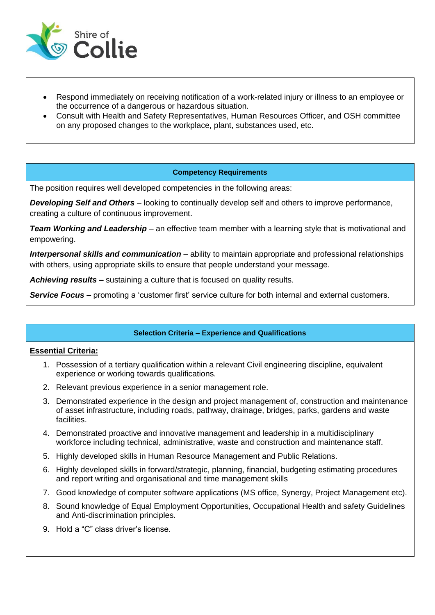

- Respond immediately on receiving notification of a work-related injury or illness to an employee or the occurrence of a dangerous or hazardous situation.
- Consult with Health and Safety Representatives, Human Resources Officer, and OSH committee on any proposed changes to the workplace, plant, substances used, etc.

#### **Competency Requirements**

The position requires well developed competencies in the following areas:

*Developing Self and Others* – looking to continually develop self and others to improve performance, creating a culture of continuous improvement.

*Team Working and Leadership* – an effective team member with a learning style that is motivational and empowering.

*Interpersonal skills and communication* – ability to maintain appropriate and professional relationships with others, using appropriate skills to ensure that people understand your message.

*Achieving results* **–** sustaining a culture that is focused on quality results.

**Service Focus** – promoting a 'customer first' service culture for both internal and external customers.

## **Selection Criteria – Experience and Qualifications**

#### **Essential Criteria:**

- 1. Possession of a tertiary qualification within a relevant Civil engineering discipline, equivalent experience or working towards qualifications.
- 2. Relevant previous experience in a senior management role.
- 3. Demonstrated experience in the design and project management of, construction and maintenance of asset infrastructure, including roads, pathway, drainage, bridges, parks, gardens and waste facilities.
- 4. Demonstrated proactive and innovative management and leadership in a multidisciplinary workforce including technical, administrative, waste and construction and maintenance staff.
- 5. Highly developed skills in Human Resource Management and Public Relations.
- 6. Highly developed skills in forward/strategic, planning, financial, budgeting estimating procedures and report writing and organisational and time management skills
- 7. Good knowledge of computer software applications (MS office, Synergy, Project Management etc).
- 8. Sound knowledge of Equal Employment Opportunities, Occupational Health and safety Guidelines and Anti-discrimination principles.
- 9. Hold a "C" class driver's license.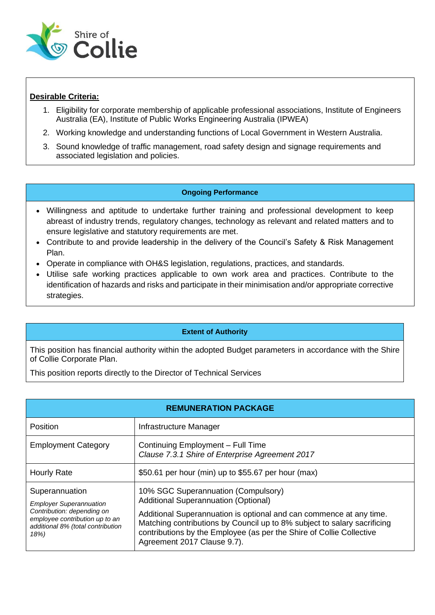

# **Desirable Criteria:**

- 1. Eligibility for corporate membership of applicable professional associations, Institute of Engineers Australia (EA), Institute of Public Works Engineering Australia (IPWEA)
- 2. Working knowledge and understanding functions of Local Government in Western Australia.
- 3. Sound knowledge of traffic management, road safety design and signage requirements and associated legislation and policies.

## **Ongoing Performance**

- Willingness and aptitude to undertake further training and professional development to keep abreast of industry trends, regulatory changes, technology as relevant and related matters and to ensure legislative and statutory requirements are met.
- Contribute to and provide leadership in the delivery of the Council's Safety & Risk Management Plan.
- Operate in compliance with OH&S legislation, regulations, practices, and standards.
- Utilise safe working practices applicable to own work area and practices. Contribute to the identification of hazards and risks and participate in their minimisation and/or appropriate corrective strategies.

## **Extent of Authority**

This position has financial authority within the adopted Budget parameters in accordance with the Shire of Collie Corporate Plan.

This position reports directly to the Director of Technical Services

| <b>REMUNERATION PACKAGE</b>                                                                                                                                   |                                                                                                                                                                                                                                                                                                                                              |  |
|---------------------------------------------------------------------------------------------------------------------------------------------------------------|----------------------------------------------------------------------------------------------------------------------------------------------------------------------------------------------------------------------------------------------------------------------------------------------------------------------------------------------|--|
| <b>Position</b>                                                                                                                                               | Infrastructure Manager                                                                                                                                                                                                                                                                                                                       |  |
| <b>Employment Category</b>                                                                                                                                    | Continuing Employment - Full Time<br>Clause 7.3.1 Shire of Enterprise Agreement 2017                                                                                                                                                                                                                                                         |  |
| <b>Hourly Rate</b>                                                                                                                                            | \$50.61 per hour (min) up to \$55.67 per hour (max)                                                                                                                                                                                                                                                                                          |  |
| Superannuation<br><b>Employer Superannuation</b><br>Contribution: depending on<br>employee contribution up to an<br>additional 8% (total contribution<br>18%) | 10% SGC Superannuation (Compulsory)<br><b>Additional Superannuation (Optional)</b><br>Additional Superannuation is optional and can commence at any time.<br>Matching contributions by Council up to 8% subject to salary sacrificing<br>contributions by the Employee (as per the Shire of Collie Collective<br>Agreement 2017 Clause 9.7). |  |